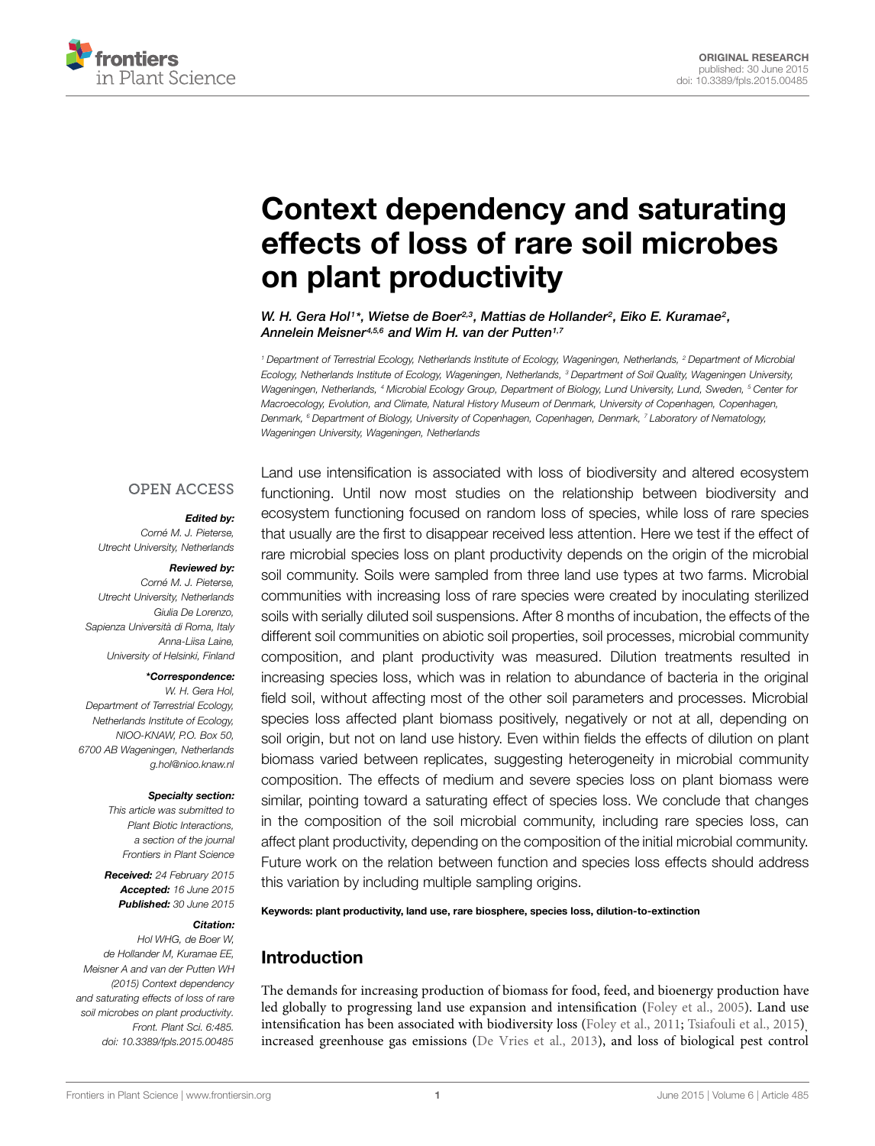

# Context dependency and saturating [effects of loss of rare soil microbes](http://journal.frontiersin.org/article/10.3389/fpls.2015.00485/abstract) on plant productivity

*[W. H. Gera Hol1](http://loop.frontiersin.org/people/66457)\*, [Wietse de Boer2](http://loop.frontiersin.org/people/21598),3, Mattias de Hollander2, [Eiko E. Kuramae2](http://loop.frontiersin.org/people/116310), [Annelein Meisner4](http://loop.frontiersin.org/people/236108),5,6 and [Wim H. van der Putten1](http://loop.frontiersin.org/people/247382),7*

*<sup>1</sup> Department of Terrestrial Ecology, Netherlands Institute of Ecology, Wageningen, Netherlands, <sup>2</sup> Department of Microbial Ecology, Netherlands Institute of Ecology, Wageningen, Netherlands, <sup>3</sup> Department of Soil Quality, Wageningen University, Wageningen, Netherlands, <sup>4</sup> Microbial Ecology Group, Department of Biology, Lund University, Lund, Sweden, <sup>5</sup> Center for Macroecology, Evolution, and Climate, Natural History Museum of Denmark, University of Copenhagen, Copenhagen, Denmark, <sup>6</sup> Department of Biology, University of Copenhagen, Copenhagen, Denmark, <sup>7</sup> Laboratory of Nematology, Wageningen University, Wageningen, Netherlands*

#### **OPEN ACCESS**

#### *Edited by:*

*Corné M. J. Pieterse, Utrecht University, Netherlands*

#### *Reviewed by:*

*Corné M. J. Pieterse, Utrecht University, Netherlands Giulia De Lorenzo, Sapienza Università di Roma, Italy Anna-Liisa Laine, University of Helsinki, Finland*

#### *\*Correspondence:*

*W. H. Gera Hol, Department of Terrestrial Ecology, Netherlands Institute of Ecology, NIOO-KNAW, P.O. Box 50, 6700 AB Wageningen, Netherlands g.hol@nioo.knaw.nl*

#### *Specialty section:*

*This article was submitted to Plant Biotic Interactions, a section of the journal Frontiers in Plant Science*

*Received: 24 February 2015 Accepted: 16 June 2015 Published: 30 June 2015*

#### *Citation:*

*Hol WHG, de Boer W, de Hollander M, Kuramae EE, Meisner A and van der Putten WH (2015) Context dependency and saturating effects of loss of rare soil microbes on plant productivity. Front. Plant Sci. 6:485. doi: [10.3389/fpls.2015.00485](http://dx.doi.org/10.3389/fpls.2015.00485)*

Land use intensification is associated with loss of biodiversity and altered ecosystem functioning. Until now most studies on the relationship between biodiversity and ecosystem functioning focused on random loss of species, while loss of rare species that usually are the first to disappear received less attention. Here we test if the effect of rare microbial species loss on plant productivity depends on the origin of the microbial soil community. Soils were sampled from three land use types at two farms. Microbial communities with increasing loss of rare species were created by inoculating sterilized soils with serially diluted soil suspensions. After 8 months of incubation, the effects of the different soil communities on abiotic soil properties, soil processes, microbial community composition, and plant productivity was measured. Dilution treatments resulted in increasing species loss, which was in relation to abundance of bacteria in the original field soil, without affecting most of the other soil parameters and processes. Microbial species loss affected plant biomass positively, negatively or not at all, depending on soil origin, but not on land use history. Even within fields the effects of dilution on plant biomass varied between replicates, suggesting heterogeneity in microbial community composition. The effects of medium and severe species loss on plant biomass were similar, pointing toward a saturating effect of species loss. We conclude that changes in the composition of the soil microbial community, including rare species loss, can affect plant productivity, depending on the composition of the initial microbial community. Future work on the relation between function and species loss effects should address this variation by including multiple sampling origins.

Keywords: plant productivity, land use, rare biosphere, species loss, dilution-to-extinction

## Introduction

The demands for increasing production of biomass for food, feed, and bioenergy production have led globally to progressing land use expansion and intensification [\(Foley et al.](#page-8-0), [2005\)](#page-8-0). Land use intensification has been associated with biodiversity loss [\(Foley et al.](#page-8-1), [2011](#page-8-1); [Tsiafouli et al., 2015](#page-9-0)), increased greenhouse gas emissions [\(De Vries et al., 2013\)](#page-8-2), and loss of biological pest control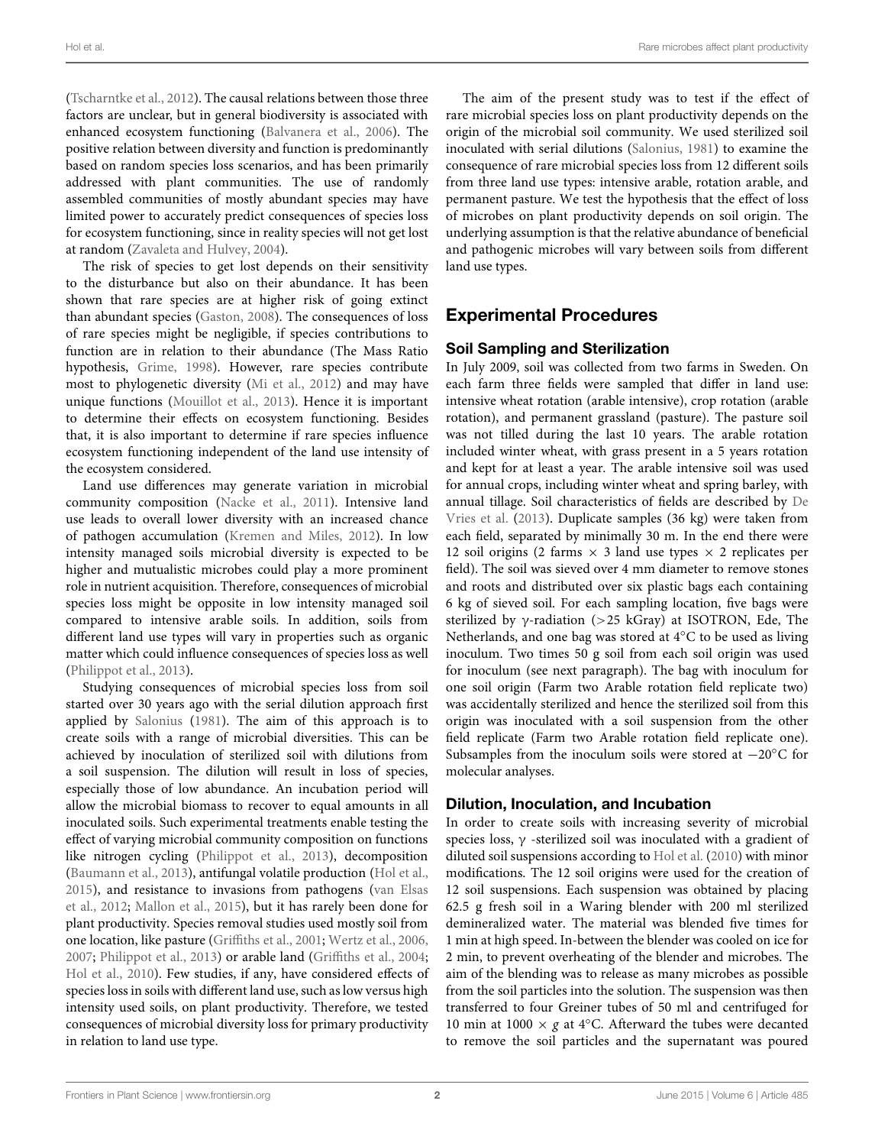[\(Tscharntke et al., 2012\)](#page-9-1). The causal relations between those three factors are unclear, but in general biodiversity is associated with enhanced ecosystem functioning [\(Balvanera et al., 2006](#page-8-3)). The positive relation between diversity and function is predominantly based on random species loss scenarios, and has been primarily addressed with plant communities. The use of randomly assembled communities of mostly abundant species may have limited power to accurately predict consequences of species loss for ecosystem functioning, since in reality species will not get lost at random [\(Zavaleta and Hulvey](#page-9-2), [2004\)](#page-9-2).

The risk of species to get lost depends on their sensitivity to the disturbance but also on their abundance. It has been shown that rare species are at higher risk of going extinct than abundant species [\(Gaston, 2008\)](#page-8-4). The consequences of loss of rare species might be negligible, if species contributions to function are in relation to their abundance (The Mass Ratio hypothesis, [Grime](#page-8-5), [1998\)](#page-8-5). However, rare species contribute most to phylogenetic diversity [\(Mi et al.](#page-9-3), [2012](#page-9-3)) and may have unique functions [\(Mouillot et al., 2013\)](#page-9-4). Hence it is important to determine their effects on ecosystem functioning. Besides that, it is also important to determine if rare species influence ecosystem functioning independent of the land use intensity of the ecosystem considered.

Land use differences may generate variation in microbial community composition [\(Nacke et al.](#page-9-5), [2011\)](#page-9-5). Intensive land use leads to overall lower diversity with an increased chance of pathogen accumulation [\(Kremen and Miles, 2012](#page-9-6)). In low intensity managed soils microbial diversity is expected to be higher and mutualistic microbes could play a more prominent role in nutrient acquisition. Therefore, consequences of microbial species loss might be opposite in low intensity managed soil compared to intensive arable soils. In addition, soils from different land use types will vary in properties such as organic matter which could influence consequences of species loss as well [\(Philippot et al., 2013](#page-9-7)).

Studying consequences of microbial species loss from soil started over 30 years ago with the serial dilution approach first applied by [Salonius](#page-9-8) [\(1981\)](#page-9-8). The aim of this approach is to create soils with a range of microbial diversities. This can be achieved by inoculation of sterilized soil with dilutions from a soil suspension. The dilution will result in loss of species, especially those of low abundance. An incubation period will allow the microbial biomass to recover to equal amounts in all inoculated soils. Such experimental treatments enable testing the effect of varying microbial community composition on functions like nitrogen cycling [\(Philippot et al.](#page-9-7), [2013\)](#page-9-7), decomposition [\(Baumann et al.](#page-8-6), [2013\)](#page-8-6), antifungal volatile production [\(Hol et al.](#page-9-9), [2015](#page-9-9)[\), and resistance to invasions from pathogens \(](#page-9-10)van Elsas et al., [2012;](#page-9-10) [Mallon et al., 2015](#page-9-11)), but it has rarely been done for plant productivity. Species removal studies used mostly soil from one location, like pasture [\(Griffiths et al., 2001](#page-8-7); [Wertz et al.](#page-9-12), [2006](#page-9-12), [2007](#page-9-13); [Philippot et al., 2013\)](#page-9-7) or arable land [\(Griffiths et al.](#page-8-8), [2004](#page-8-8); [Hol et al.](#page-9-14), [2010\)](#page-9-14). Few studies, if any, have considered effects of species loss in soils with different land use, such as low versus high intensity used soils, on plant productivity. Therefore, we tested consequences of microbial diversity loss for primary productivity in relation to land use type.

The aim of the present study was to test if the effect of rare microbial species loss on plant productivity depends on the origin of the microbial soil community. We used sterilized soil inoculated with serial dilutions [\(Salonius](#page-9-8), [1981\)](#page-9-8) to examine the consequence of rare microbial species loss from 12 different soils from three land use types: intensive arable, rotation arable, and permanent pasture. We test the hypothesis that the effect of loss of microbes on plant productivity depends on soil origin. The underlying assumption is that the relative abundance of beneficial and pathogenic microbes will vary between soils from different land use types.

## Experimental Procedures

## Soil Sampling and Sterilization

In July 2009, soil was collected from two farms in Sweden. On each farm three fields were sampled that differ in land use: intensive wheat rotation (arable intensive), crop rotation (arable rotation), and permanent grassland (pasture). The pasture soil was not tilled during the last 10 years. The arable rotation included winter wheat, with grass present in a 5 years rotation and kept for at least a year. The arable intensive soil was used for annual crops, including winter wheat and spring barley, with annual till[age. Soil characteristics of fields are described by](#page-8-2) De Vries et al. [\(2013\)](#page-8-2). Duplicate samples (36 kg) were taken from each field, separated by minimally 30 m. In the end there were 12 soil origins (2 farms  $\times$  3 land use types  $\times$  2 replicates per field). The soil was sieved over 4 mm diameter to remove stones and roots and distributed over six plastic bags each containing 6 kg of sieved soil. For each sampling location, five bags were sterilized by  $\gamma$ -radiation (>25 kGray) at ISOTRON, Ede, The Netherlands, and one bag was stored at 4◦C to be used as living inoculum. Two times 50 g soil from each soil origin was used for inoculum (see next paragraph). The bag with inoculum for one soil origin (Farm two Arable rotation field replicate two) was accidentally sterilized and hence the sterilized soil from this origin was inoculated with a soil suspension from the other field replicate (Farm two Arable rotation field replicate one). Subsamples from the inoculum soils were stored at −20◦C for molecular analyses.

## Dilution, Inoculation, and Incubation

In order to create soils with increasing severity of microbial species loss,  $\gamma$  -sterilized soil was inoculated with a gradient of diluted soil suspensions according to [Hol et al.](#page-9-14) [\(2010](#page-9-14)) with minor modifications. The 12 soil origins were used for the creation of 12 soil suspensions. Each suspension was obtained by placing 62.5 g fresh soil in a Waring blender with 200 ml sterilized demineralized water. The material was blended five times for 1 min at high speed. In-between the blender was cooled on ice for 2 min, to prevent overheating of the blender and microbes. The aim of the blending was to release as many microbes as possible from the soil particles into the solution. The suspension was then transferred to four Greiner tubes of 50 ml and centrifuged for 10 min at 1000  $\times$  *g* at 4<sup>°</sup>C. Afterward the tubes were decanted to remove the soil particles and the supernatant was poured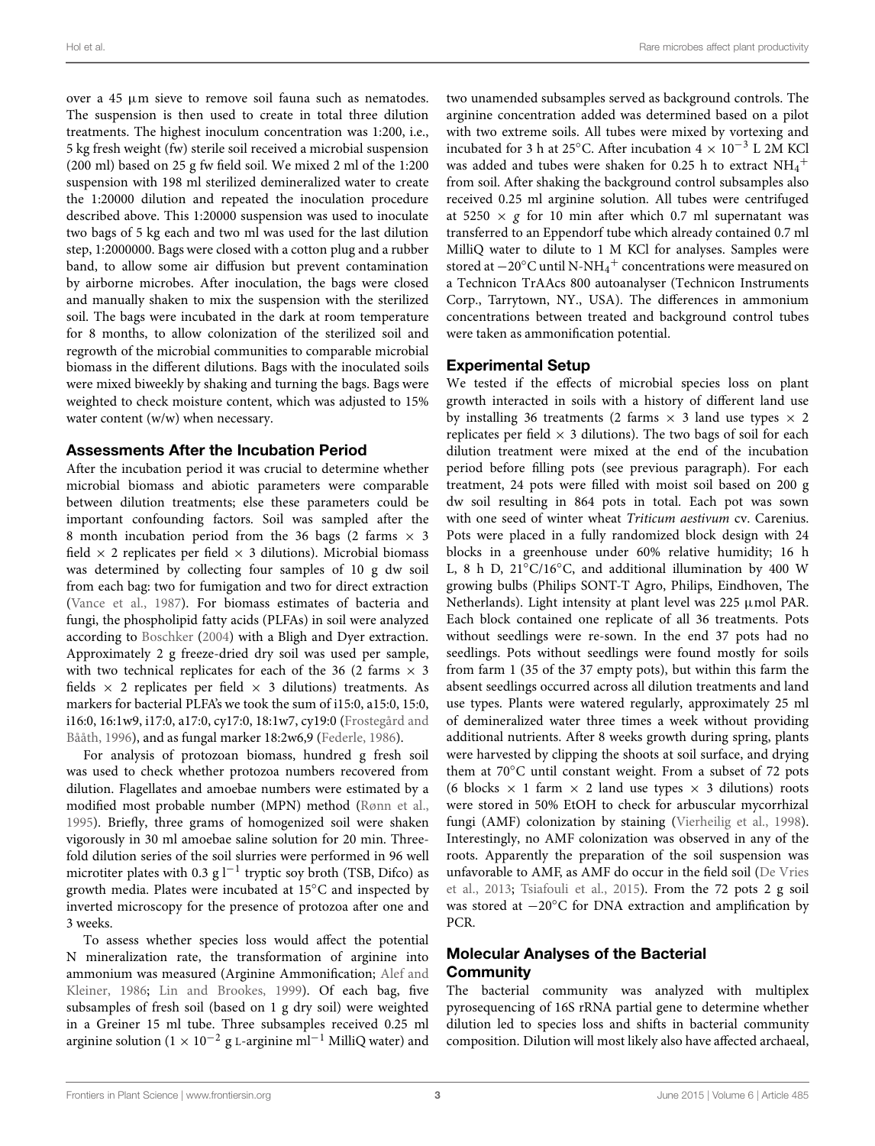over a 45 μm sieve to remove soil fauna such as nematodes. The suspension is then used to create in total three dilution treatments. The highest inoculum concentration was 1:200, i.e., 5 kg fresh weight (fw) sterile soil received a microbial suspension (200 ml) based on 25 g fw field soil. We mixed 2 ml of the 1:200 suspension with 198 ml sterilized demineralized water to create the 1:20000 dilution and repeated the inoculation procedure described above. This 1:20000 suspension was used to inoculate two bags of 5 kg each and two ml was used for the last dilution step, 1:2000000. Bags were closed with a cotton plug and a rubber band, to allow some air diffusion but prevent contamination by airborne microbes. After inoculation, the bags were closed and manually shaken to mix the suspension with the sterilized soil. The bags were incubated in the dark at room temperature for 8 months, to allow colonization of the sterilized soil and regrowth of the microbial communities to comparable microbial biomass in the different dilutions. Bags with the inoculated soils were mixed biweekly by shaking and turning the bags. Bags were weighted to check moisture content, which was adjusted to 15% water content (w/w) when necessary.

#### Assessments After the Incubation Period

After the incubation period it was crucial to determine whether microbial biomass and abiotic parameters were comparable between dilution treatments; else these parameters could be important confounding factors. Soil was sampled after the 8 month incubation period from the 36 bags (2 farms  $\times$  3 field  $\times$  2 replicates per field  $\times$  3 dilutions). Microbial biomass was determined by collecting four samples of 10 g dw soil from each bag: two for fumigation and two for direct extraction [\(Vance et al., 1987](#page-9-15)). For biomass estimates of bacteria and fungi, the phospholipid fatty acids (PLFAs) in soil were analyzed according to [Boschker](#page-8-9) [\(2004](#page-8-9)) with a Bligh and Dyer extraction. Approximately 2 g freeze-dried dry soil was used per sample, with two technical replicates for each of the 36 (2 farms  $\times$  3 fields  $\times$  2 replicates per field  $\times$  3 dilutions) treatments. As markers for bacterial PLFA's we took the sum of i15:0, a15:0, 15:0, i16:0, [16:1w9, i17:0, a17:0, cy17:0, 18:1w7, cy19:0 \(](#page-8-10)Frostegård and Bååth, [1996\)](#page-8-10), and as fungal marker 18:2w6,9 [\(Federle, 1986](#page-8-11)).

For analysis of protozoan biomass, hundred g fresh soil was used to check whether protozoa numbers recovered from dilution. Flagellates and amoebae numbers were estimated by a modified most probable number (MPN) method [\(Rønn et al.,](#page-9-16) [1995](#page-9-16)). Briefly, three grams of homogenized soil were shaken vigorously in 30 ml amoebae saline solution for 20 min. Threefold dilution series of the soil slurries were performed in 96 well microtiter plates with 0.3 g  $l^{-1}$  tryptic soy broth (TSB, Difco) as growth media. Plates were incubated at 15◦C and inspected by inverted microscopy for the presence of protozoa after one and 3 weeks.

To assess whether species loss would affect the potential N mineralization rate, the transformation of arginine into ammo[nium was measured \(Arginine Ammonification;](#page-8-12) Alef and Kleiner, [1986;](#page-8-12) [Lin and Brookes, 1999](#page-9-17)). Of each bag, five subsamples of fresh soil (based on 1 g dry soil) were weighted in a Greiner 15 ml tube. Three subsamples received 0.25 ml arginine solution (1 × 10<sup>-2</sup> g L-arginine ml<sup>-1</sup> MilliQ water) and two unamended subsamples served as background controls. The arginine concentration added was determined based on a pilot with two extreme soils. All tubes were mixed by vortexing and incubated for 3 h at 25°C. After incubation  $4 \times 10^{-3}$  L 2M KCl was added and tubes were shaken for 0.25 h to extract  $NH_4^+$ from soil. After shaking the background control subsamples also received 0.25 ml arginine solution. All tubes were centrifuged at 5250  $\times$  *g* for 10 min after which 0.7 ml supernatant was transferred to an Eppendorf tube which already contained 0.7 ml MilliQ water to dilute to 1 M KCl for analyses. Samples were stored at  $-20^{\circ}$ C until N-NH<sub>4</sub><sup>+</sup> concentrations were measured on a Technicon TrAAcs 800 autoanalyser (Technicon Instruments Corp., Tarrytown, NY., USA). The differences in ammonium concentrations between treated and background control tubes were taken as ammonification potential.

#### Experimental Setup

We tested if the effects of microbial species loss on plant growth interacted in soils with a history of different land use by installing 36 treatments (2 farms  $\times$  3 land use types  $\times$  2 replicates per field  $\times$  3 dilutions). The two bags of soil for each dilution treatment were mixed at the end of the incubation period before filling pots (see previous paragraph). For each treatment, 24 pots were filled with moist soil based on 200 g dw soil resulting in 864 pots in total. Each pot was sown with one seed of winter wheat *Triticum aestivum* cv. Carenius. Pots were placed in a fully randomized block design with 24 blocks in a greenhouse under 60% relative humidity; 16 h L, 8 h D, 21◦C/16◦C, and additional illumination by 400 W growing bulbs (Philips SONT-T Agro, Philips, Eindhoven, The Netherlands). Light intensity at plant level was 225 μmol PAR. Each block contained one replicate of all 36 treatments. Pots without seedlings were re-sown. In the end 37 pots had no seedlings. Pots without seedlings were found mostly for soils from farm 1 (35 of the 37 empty pots), but within this farm the absent seedlings occurred across all dilution treatments and land use types. Plants were watered regularly, approximately 25 ml of demineralized water three times a week without providing additional nutrients. After 8 weeks growth during spring, plants were harvested by clipping the shoots at soil surface, and drying them at 70◦C until constant weight. From a subset of 72 pots (6 blocks  $\times$  1 farm  $\times$  2 land use types  $\times$  3 dilutions) roots were stored in 50% EtOH to check for arbuscular mycorrhizal fungi (AMF) colonization by staining [\(Vierheilig et al., 1998](#page-9-18)). Interestingly, no AMF colonization was observed in any of the roots. Apparently the preparation of the soil suspension was unfa[vorable to AMF, as AMF do occur in the field soil \(](#page-8-2)De Vries et al., [2013](#page-8-2); [Tsiafouli et al.](#page-9-0), [2015\)](#page-9-0). From the 72 pots 2 g soil was stored at −20°C for DNA extraction and amplification by PCR.

#### Molecular Analyses of the Bacterial **Community**

The bacterial community was analyzed with multiplex pyrosequencing of 16S rRNA partial gene to determine whether dilution led to species loss and shifts in bacterial community composition. Dilution will most likely also have affected archaeal,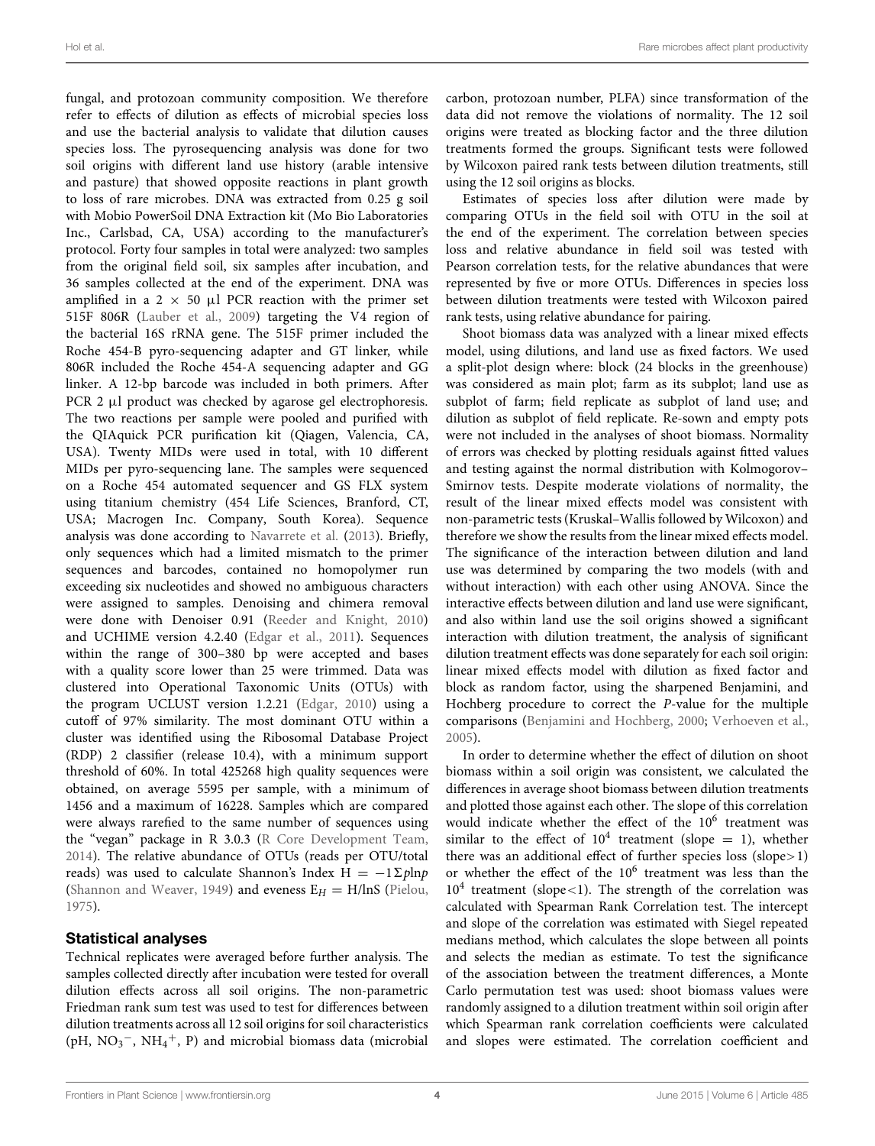fungal, and protozoan community composition. We therefore refer to effects of dilution as effects of microbial species loss and use the bacterial analysis to validate that dilution causes species loss. The pyrosequencing analysis was done for two soil origins with different land use history (arable intensive and pasture) that showed opposite reactions in plant growth to loss of rare microbes. DNA was extracted from 0.25 g soil with Mobio PowerSoil DNA Extraction kit (Mo Bio Laboratories Inc., Carlsbad, CA, USA) according to the manufacturer's protocol. Forty four samples in total were analyzed: two samples from the original field soil, six samples after incubation, and 36 samples collected at the end of the experiment. DNA was amplified in a 2  $\times$  50 μl PCR reaction with the primer set 515F 806R [\(Lauber et al., 2009\)](#page-9-19) targeting the V4 region of the bacterial 16S rRNA gene. The 515F primer included the Roche 454-B pyro-sequencing adapter and GT linker, while 806R included the Roche 454-A sequencing adapter and GG linker. A 12-bp barcode was included in both primers. After PCR 2 μl product was checked by agarose gel electrophoresis. The two reactions per sample were pooled and purified with the QIAquick PCR purification kit (Qiagen, Valencia, CA, USA). Twenty MIDs were used in total, with 10 different MIDs per pyro-sequencing lane. The samples were sequenced on a Roche 454 automated sequencer and GS FLX system using titanium chemistry (454 Life Sciences, Branford, CT, USA; Macrogen Inc. Company, South Korea). Sequence analysis was done according to [Navarrete et al.](#page-9-20) [\(2013](#page-9-20)). Briefly, only sequences which had a limited mismatch to the primer sequences and barcodes, contained no homopolymer run exceeding six nucleotides and showed no ambiguous characters were assigned to samples. Denoising and chimera removal were done with Denoiser 0.91 [\(Reeder and Knight, 2010](#page-9-21)) and UCHIME version 4.2.40 [\(Edgar et al.](#page-8-13), [2011](#page-8-13)). Sequences within the range of 300–380 bp were accepted and bases with a quality score lower than 25 were trimmed. Data was clustered into Operational Taxonomic Units (OTUs) with the program UCLUST version 1.2.21 [\(Edgar, 2010](#page-8-14)) using a cutoff of 97% similarity. The most dominant OTU within a cluster was identified using the Ribosomal Database Project (RDP) 2 classifier (release 10.4), with a minimum support threshold of 60%. In total 425268 high quality sequences were obtained, on average 5595 per sample, with a minimum of 1456 and a maximum of 16228. Samples which are compared were always rarefied to the same number of sequences using the "vegan" package in R 3.0.3 [\(R Core Development Team](#page-9-22), [2014](#page-9-22)). The relative abundance of OTUs (reads per OTU/total reads) was used to calculate Shannon's Index H =  $-1Σ$ *p*ln*p* [\(Shannon and Weaver](#page-9-23), [1949\)](#page-9-23) and eveness  $E_H = H/lnS$  [\(Pielou](#page-9-24), [1975](#page-9-24)).

#### Statistical analyses

Technical replicates were averaged before further analysis. The samples collected directly after incubation were tested for overall dilution effects across all soil origins. The non-parametric Friedman rank sum test was used to test for differences between dilution treatments across all 12 soil origins for soil characteristics (pH,  $NO_3^-$ ,  $NH_4^+$ , P) and microbial biomass data (microbial

carbon, protozoan number, PLFA) since transformation of the data did not remove the violations of normality. The 12 soil origins were treated as blocking factor and the three dilution treatments formed the groups. Significant tests were followed by Wilcoxon paired rank tests between dilution treatments, still using the 12 soil origins as blocks.

Estimates of species loss after dilution were made by comparing OTUs in the field soil with OTU in the soil at the end of the experiment. The correlation between species loss and relative abundance in field soil was tested with Pearson correlation tests, for the relative abundances that were represented by five or more OTUs. Differences in species loss between dilution treatments were tested with Wilcoxon paired rank tests, using relative abundance for pairing.

Shoot biomass data was analyzed with a linear mixed effects model, using dilutions, and land use as fixed factors. We used a split-plot design where: block (24 blocks in the greenhouse) was considered as main plot; farm as its subplot; land use as subplot of farm; field replicate as subplot of land use; and dilution as subplot of field replicate. Re-sown and empty pots were not included in the analyses of shoot biomass. Normality of errors was checked by plotting residuals against fitted values and testing against the normal distribution with Kolmogorov– Smirnov tests. Despite moderate violations of normality, the result of the linear mixed effects model was consistent with non-parametric tests (Kruskal–Wallis followed by Wilcoxon) and therefore we show the results from the linear mixed effects model. The significance of the interaction between dilution and land use was determined by comparing the two models (with and without interaction) with each other using ANOVA. Since the interactive effects between dilution and land use were significant, and also within land use the soil origins showed a significant interaction with dilution treatment, the analysis of significant dilution treatment effects was done separately for each soil origin: linear mixed effects model with dilution as fixed factor and block as random factor, using the sharpened Benjamini, and Hochberg procedure to correct the *P*-value for the multiple comparisons [\(Benjamini and Hochberg](#page-8-15), [2000;](#page-8-15) [Verhoeven et al.](#page-9-25), [2005\)](#page-9-25).

In order to determine whether the effect of dilution on shoot biomass within a soil origin was consistent, we calculated the differences in average shoot biomass between dilution treatments and plotted those against each other. The slope of this correlation would indicate whether the effect of the  $10^6$  treatment was similar to the effect of  $10^4$  treatment (slope = 1), whether there was an additional effect of further species loss (slope>1) or whether the effect of the 10<sup>6</sup> treatment was less than the  $10<sup>4</sup>$  treatment (slope < 1). The strength of the correlation was calculated with Spearman Rank Correlation test. The intercept and slope of the correlation was estimated with Siegel repeated medians method, which calculates the slope between all points and selects the median as estimate. To test the significance of the association between the treatment differences, a Monte Carlo permutation test was used: shoot biomass values were randomly assigned to a dilution treatment within soil origin after which Spearman rank correlation coefficients were calculated and slopes were estimated. The correlation coefficient and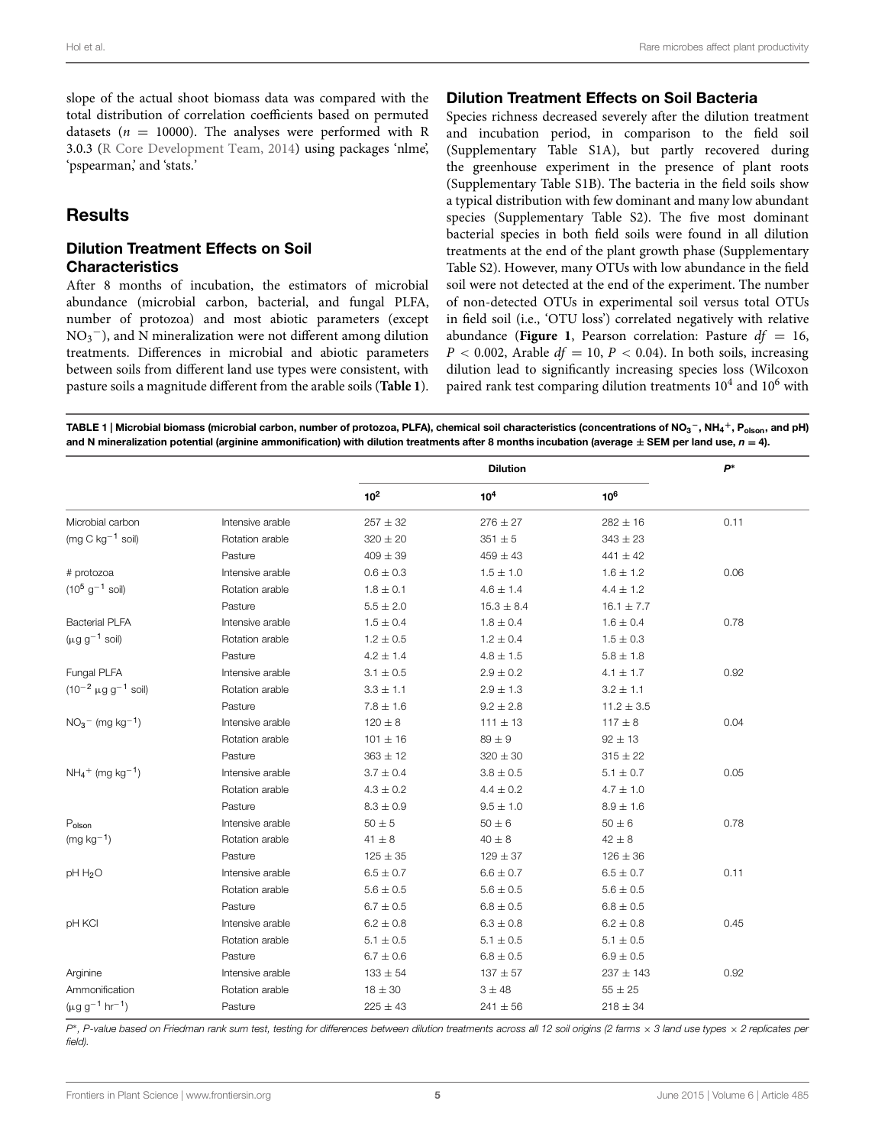slope of the actual shoot biomass data was compared with the total distribution of correlation coefficients based on permuted datasets ( $n = 10000$ ). The analyses were performed with R 3.0.3 [\(R Core Development Team](#page-9-22), [2014\)](#page-9-22) using packages 'nlme', 'pspearman,' and 'stats.'

## **Results**

#### Dilution Treatment Effects on Soil **Characteristics**

After 8 months of incubation, the estimators of microbial abundance (microbial carbon, bacterial, and fungal PLFA, number of protozoa) and most abiotic parameters (except  $NO<sub>3</sub><sup>-</sup>$ ), and N mineralization were not different among dilution treatments. Differences in microbial and abiotic parameters between soils from different land use types were consistent, with pasture soils a magnitude different from the arable soils (**[Table 1](#page-4-0)**).

#### Dilution Treatment Effects on Soil Bacteria

Species richness decreased severely after the dilution treatment and incubation period, in comparison to the field soil (Supplementary Table S1A), but partly recovered during the greenhouse experiment in the presence of plant roots (Supplementary Table S1B). The bacteria in the field soils show a typical distribution with few dominant and many low abundant species (Supplementary Table S2). The five most dominant bacterial species in both field soils were found in all dilution treatments at the end of the plant growth phase (Supplementary Table S2). However, many OTUs with low abundance in the field soil were not detected at the end of the experiment. The number of non-detected OTUs in experimental soil versus total OTUs in field soil (i.e., 'OTU loss') correlated negatively with relative abundance (**[Figure 1](#page-5-0)**, Pearson correlation: Pasture *df* <sup>=</sup> 16,  $P < 0.002$ , Arable  $df = 10$ ,  $P < 0.04$ ). In both soils, increasing dilution lead to significantly increasing species loss (Wilcoxon paired rank test comparing dilution treatments  $10^4$  and  $10^6$  with

<span id="page-4-0"></span>TABLE 1 | Microbial biomass (microbial carbon, number of protozoa, PLFA), chemical soil characteristics (concentrations of NO3 **<sup>−</sup>**, NH4 **<sup>+</sup>**, Polson, and pH) and N mineralization potential (arginine ammonification) with dilution treatments after 8 months incubation (average **<sup>±</sup>** SEM per land use, *<sup>n</sup>* **<sup>=</sup>** 4).

|                                            |                  | <b>Dilution</b> |                 |                 | $P^*$ |
|--------------------------------------------|------------------|-----------------|-----------------|-----------------|-------|
|                                            |                  | 10 <sup>2</sup> | 10 <sup>4</sup> | 10 <sup>6</sup> |       |
| Microbial carbon                           | Intensive arable | $257 \pm 32$    | $276 \pm 27$    | $282 \pm 16$    | 0.11  |
| (mg C $kg^{-1}$ soil)                      | Rotation arable  | $320 \pm 20$    | $351\pm5$       | $343 \pm 23$    |       |
|                                            | Pasture          | $409 \pm 39$    | $459 \pm 43$    | $441 \pm 42$    |       |
| # protozoa                                 | Intensive arable | $0.6 \pm 0.3$   | $1.5 \pm 1.0$   | $1.6 \pm 1.2$   | 0.06  |
| $(10^5 \text{ g}^{-1} \text{ soil})$       | Rotation arable  | $1.8 \pm 0.1$   | $4.6 \pm 1.4$   | $4.4 \pm 1.2$   |       |
|                                            | Pasture          | $5.5 \pm 2.0$   | $15.3 \pm 8.4$  | $16.1 \pm 7.7$  |       |
| <b>Bacterial PLFA</b>                      | Intensive arable | $1.5 \pm 0.4$   | $1.8 \pm 0.4$   | $1.6 \pm 0.4$   | 0.78  |
| $(\mu q q^{-1}$ soil)                      | Rotation arable  | $1.2 \pm 0.5$   | $1.2 \pm 0.4$   | $1.5 \pm 0.3$   |       |
|                                            | Pasture          | $4.2 \pm 1.4$   | $4.8 \pm 1.5$   | $5.8 \pm 1.8$   |       |
| Fungal PLFA                                | Intensive arable | $3.1 \pm 0.5$   | $2.9 \pm 0.2$   | $4.1 \pm 1.7$   | 0.92  |
| $(10^{-2} \mu g g^{-1}$ soil)              | Rotation arable  | $3.3 \pm 1.1$   | $2.9 \pm 1.3$   | $3.2 \pm 1.1$   |       |
|                                            | Pasture          | $7.8 \pm 1.6$   | $9.2 \pm 2.8$   | $11.2 \pm 3.5$  |       |
| $NO3$ (mg kg <sup>-1</sup> )               | Intensive arable | $120 \pm 8$     | $111 \pm 13$    | $117 \pm 8$     | 0.04  |
|                                            | Rotation arable  | $101 \pm 16$    | $89 \pm 9$      | $92 \pm 13$     |       |
|                                            | Pasture          | $363 \pm 12$    | $320 \pm 30$    | $315 \pm 22$    |       |
| $NH_4$ <sup>+</sup> (mg kg <sup>-1</sup> ) | Intensive arable | $3.7 \pm 0.4$   | $3.8 \pm 0.5$   | $5.1 \pm 0.7$   | 0.05  |
|                                            | Rotation arable  | $4.3 \pm 0.2$   | $4.4 \pm 0.2$   | $4.7 \pm 1.0$   |       |
|                                            | Pasture          | $8.3 \pm 0.9$   | $9.5 \pm 1.0$   | $8.9 \pm 1.6$   |       |
| $\mathsf{P}_{\mathsf{olson}}$              | Intensive arable | $50 \pm 5$      | $50 \pm 6$      | $50 \pm 6$      | 0.78  |
| $(mg kg^{-1})$                             | Rotation arable  | $41 \pm 8$      | $40 \pm 8$      | $42 \pm 8$      |       |
|                                            | Pasture          | $125 \pm 35$    | $129 \pm 37$    | $126 \pm 36$    |       |
| pH H <sub>2</sub> O                        | Intensive arable | $6.5 \pm 0.7$   | $6.6 \pm 0.7$   | $6.5 \pm 0.7$   | 0.11  |
|                                            | Rotation arable  | $5.6 \pm 0.5$   | $5.6 \pm 0.5$   | $5.6\pm0.5$     |       |
|                                            | Pasture          | $6.7 \pm 0.5$   | $6.8 \pm 0.5$   | $6.8 \pm 0.5$   |       |
| pH KCI                                     | Intensive arable | $6.2 \pm 0.8$   | $6.3 \pm 0.8$   | $6.2 \pm 0.8$   | 0.45  |
|                                            | Rotation arable  | $5.1 \pm 0.5$   | $5.1 \pm 0.5$   | $5.1 \pm 0.5$   |       |
|                                            | Pasture          | $6.7 \pm 0.6$   | $6.8 \pm 0.5$   | $6.9 \pm 0.5$   |       |
| Arginine                                   | Intensive arable | $133 \pm 54$    | $137 \pm 57$    | $237 \pm 143$   | 0.92  |
| Ammonification                             | Rotation arable  | $18 \pm 30$     | 3 ± 48          | $55 \pm 25$     |       |
| $(\mu g g^{-1} hr^{-1})$                   | Pasture          | $225 \pm 43$    | $241 \pm 56$    | $218 \pm 34$    |       |

*P*<sup>∗</sup>, P-value based on Friedman rank sum test, testing for differences between dilution treatments across all 12 soil origins (2 farms × 3 land use types × 2 replicates per *field).*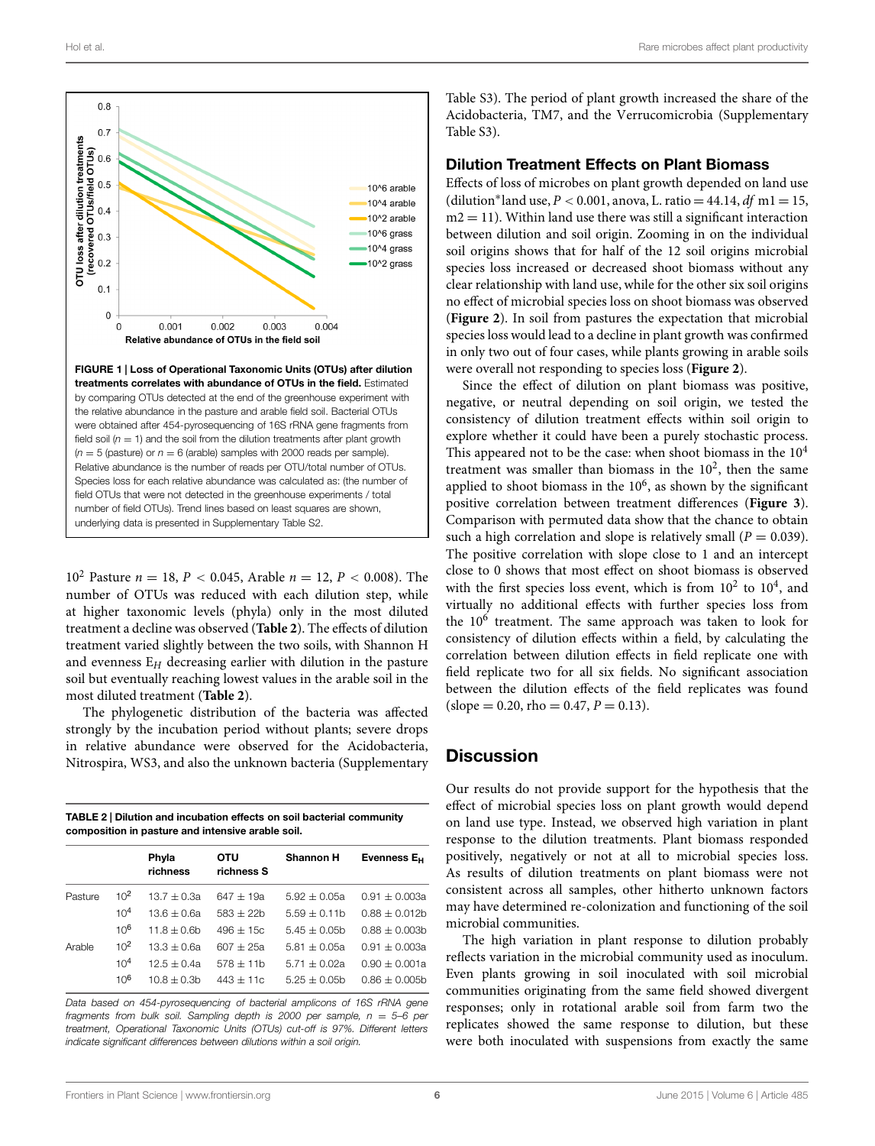

<span id="page-5-0"></span>10<sup>2</sup> Pasture  $n = 18$ ,  $P < 0.045$ , Arable  $n = 12$ ,  $P < 0.008$ ). The number of OTUs was reduced with each dilution step, while at higher taxonomic levels (phyla) only in the most diluted treatment a decline was observed (**[Table 2](#page-5-1)**). The effects of dilution treatment varied slightly between the two soils, with Shannon H and evenness E*<sup>H</sup>* decreasing earlier with dilution in the pasture soil but eventually reaching lowest values in the arable soil in the most diluted treatment (**[Table 2](#page-5-1)**).

The phylogenetic distribution of the bacteria was affected strongly by the incubation period without plants; severe drops in relative abundance were observed for the Acidobacteria, Nitrospira, WS3, and also the unknown bacteria (Supplementary

<span id="page-5-1"></span>

| TABLE 2   Dilution and incubation effects on soil bacterial community |
|-----------------------------------------------------------------------|
| composition in pasture and intensive arable soil.                     |

|         |                 | Phyla<br>richness | OTU<br>richness S | <b>Shannon H</b> | Evenness E <sub>H</sub> |
|---------|-----------------|-------------------|-------------------|------------------|-------------------------|
| Pasture | 10 <sup>2</sup> | $13.7 + 0.3a$     | $647 + 19a$       | $5.92 + 0.05a$   | $0.91 + 0.003a$         |
|         | 10 <sup>4</sup> | $13.6 + 0.6a$     | $583 + 22h$       | $5.59 + 0.11b$   | $0.88 + 0.012h$         |
|         | 106             | $11.8 + 0.6b$     | $496 + 15c$       | $5.45 + 0.05$    | $0.88 \pm 0.003$ b      |
| Arable  | 10 <sup>2</sup> | $13.3 + 0.6a$     | $607 + 25a$       | $5.81 + 0.05a$   | $0.91 + 0.003a$         |
|         | 10 <sup>4</sup> | $12.5 + 0.4a$     | $578 + 11b$       | $5.71 + 0.02a$   | $0.90 \pm 0.001a$       |
|         | 10 <sup>6</sup> | $10.8 + 0.3b$     | $443 + 11c$       | $5.25 + 0.05$    | $0.86 + 0.005h$         |
|         |                 |                   |                   |                  |                         |

*Data based on 454-pyrosequencing of bacterial amplicons of 16S rRNA gene fragments from bulk soil. Sampling depth is 2000 per sample, n* = *5–6 per treatment, Operational Taxonomic Units (OTUs) cut-off is 97%. Different letters indicate significant differences between dilutions within a soil origin.*

Table S3). The period of plant growth increased the share of the Acidobacteria, TM7, and the Verrucomicrobia (Supplementary Table S3).

#### Dilution Treatment Effects on Plant Biomass

Effects of loss of microbes on plant growth depended on land use (dilution<sup>\*</sup>land use,  $P < 0.001$ , anova, L. ratio = 44.14,  $df$  m1 = 15,  $m2 = 11$ ). Within land use there was still a significant interaction between dilution and soil origin. Zooming in on the individual soil origins shows that for half of the 12 soil origins microbial species loss increased or decreased shoot biomass without any clear relationship with land use, while for the other six soil origins no effect of microbial species loss on shoot biomass was observed (**[Figure 2](#page-6-0)**). In soil from pastures the expectation that microbial species loss would lead to a decline in plant growth was confirmed in only two out of four cases, while plants growing in arable soils were overall not responding to species loss (**[Figure 2](#page-6-0)**).

Since the effect of dilution on plant biomass was positive, negative, or neutral depending on soil origin, we tested the consistency of dilution treatment effects within soil origin to explore whether it could have been a purely stochastic process. This appeared not to be the case: when shoot biomass in the  $10<sup>4</sup>$ treatment was smaller than biomass in the  $10<sup>2</sup>$ , then the same applied to shoot biomass in the  $10<sup>6</sup>$ , as shown by the significant positive correlation between treatment differences (**[Figure 3](#page-7-0)**). Comparison with permuted data show that the chance to obtain such a high correlation and slope is relatively small  $(P = 0.039)$ . The positive correlation with slope close to 1 and an intercept close to 0 shows that most effect on shoot biomass is observed with the first species loss event, which is from  $10^2$  to  $10^4$ , and virtually no additional effects with further species loss from the  $10^6$  treatment. The same approach was taken to look for consistency of dilution effects within a field, by calculating the correlation between dilution effects in field replicate one with field replicate two for all six fields. No significant association between the dilution effects of the field replicates was found  $(slope = 0.20, rho = 0.47, P = 0.13).$ 

#### **Discussion**

Our results do not provide support for the hypothesis that the effect of microbial species loss on plant growth would depend on land use type. Instead, we observed high variation in plant response to the dilution treatments. Plant biomass responded positively, negatively or not at all to microbial species loss. As results of dilution treatments on plant biomass were not consistent across all samples, other hitherto unknown factors may have determined re-colonization and functioning of the soil microbial communities.

The high variation in plant response to dilution probably reflects variation in the microbial community used as inoculum. Even plants growing in soil inoculated with soil microbial communities originating from the same field showed divergent responses; only in rotational arable soil from farm two the replicates showed the same response to dilution, but these were both inoculated with suspensions from exactly the same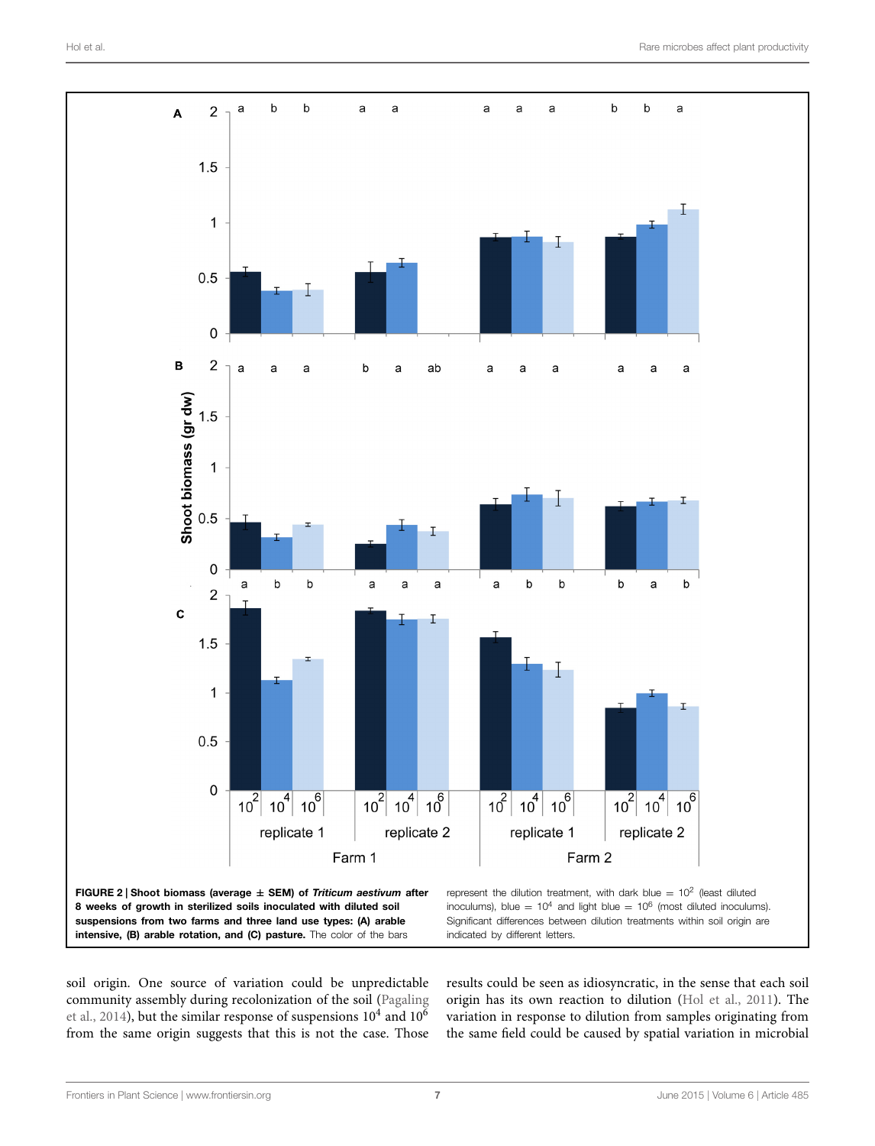

<span id="page-6-0"></span>soil origin. One source of variation could be unpredictable community assembly during recolonization of the soil [\(Pagaling](#page-9-26) et al., [2014](#page-9-26)), but the similar response of suspensions  $10^4$  and  $10^6$ from the same origin suggests that this is not the case. Those

results could be seen as idiosyncratic, in the sense that each soil origin has its own reaction to dilution [\(Hol et al.](#page-9-27), [2011](#page-9-27)). The variation in response to dilution from samples originating from the same field could be caused by spatial variation in microbial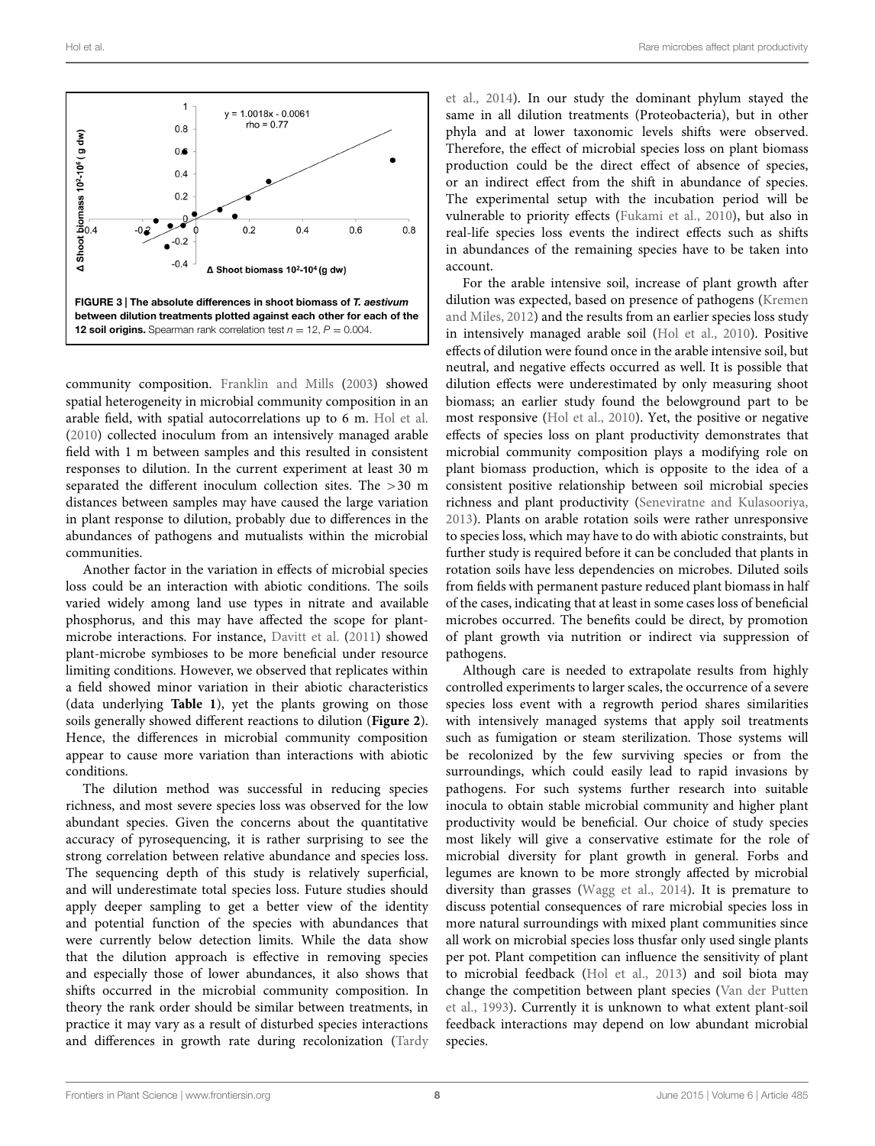

<span id="page-7-0"></span>community composition. [Franklin and Mills](#page-8-16) [\(2003\)](#page-8-16) showed spatial heterogeneity in microbial community composition in an arable field, with spatial autocorrelations up to 6 m. [Hol et al.](#page-9-14) [\(2010](#page-9-14)) collected inoculum from an intensively managed arable field with 1 m between samples and this resulted in consistent responses to dilution. In the current experiment at least 30 m separated the different inoculum collection sites. The >30 m distances between samples may have caused the large variation in plant response to dilution, probably due to differences in the abundances of pathogens and mutualists within the microbial communities.

Another factor in the variation in effects of microbial species loss could be an interaction with abiotic conditions. The soils varied widely among land use types in nitrate and available phosphorus, and this may have affected the scope for plantmicrobe interactions. For instance, [Davitt et al.](#page-8-17) [\(2011\)](#page-8-17) showed plant-microbe symbioses to be more beneficial under resource limiting conditions. However, we observed that replicates within a field showed minor variation in their abiotic characteristics (data underlying **[Table 1](#page-4-0)**), yet the plants growing on those soils generally showed different reactions to dilution (**[Figure 2](#page-6-0)**). Hence, the differences in microbial community composition appear to cause more variation than interactions with abiotic conditions.

The dilution method was successful in reducing species richness, and most severe species loss was observed for the low abundant species. Given the concerns about the quantitative accuracy of pyrosequencing, it is rather surprising to see the strong correlation between relative abundance and species loss. The sequencing depth of this study is relatively superficial, and will underestimate total species loss. Future studies should apply deeper sampling to get a better view of the identity and potential function of the species with abundances that were currently below detection limits. While the data show that the dilution approach is effective in removing species and especially those of lower abundances, it also shows that shifts occurred in the microbial community composition. In theory the rank order should be similar between treatments, in practice it may vary as a result of disturbed species interactions and differences in growth rate during recolonization [\(Tardy](#page-9-28)

et al., [2014\)](#page-9-28). In our study the dominant phylum stayed the same in all dilution treatments (Proteobacteria), but in other phyla and at lower taxonomic levels shifts were observed. Therefore, the effect of microbial species loss on plant biomass production could be the direct effect of absence of species, or an indirect effect from the shift in abundance of species. The experimental setup with the incubation period will be vulnerable to priority effects [\(Fukami et al.](#page-8-18), [2010](#page-8-18)), but also in real-life species loss events the indirect effects such as shifts in abundances of the remaining species have to be taken into account.

For the arable intensive soil, increase of plant growth after dilution [was](#page-9-6) [expected,](#page-9-6) [based](#page-9-6) [on](#page-9-6) [presence](#page-9-6) [of](#page-9-6) [pathogens](#page-9-6) [\(](#page-9-6)Kremen and Miles, [2012](#page-9-6)) and the results from an earlier species loss study in intensively managed arable soil [\(Hol et al.](#page-9-14), [2010](#page-9-14)). Positive effects of dilution were found once in the arable intensive soil, but neutral, and negative effects occurred as well. It is possible that dilution effects were underestimated by only measuring shoot biomass; an earlier study found the belowground part to be most responsive [\(Hol et al., 2010](#page-9-14)). Yet, the positive or negative effects of species loss on plant productivity demonstrates that microbial community composition plays a modifying role on plant biomass production, which is opposite to the idea of a consistent positive relationship between soil microbial species richness and plant productivity [\(Seneviratne and Kulasooriya,](#page-9-29) [2013\)](#page-9-29). Plants on arable rotation soils were rather unresponsive to species loss, which may have to do with abiotic constraints, but further study is required before it can be concluded that plants in rotation soils have less dependencies on microbes. Diluted soils from fields with permanent pasture reduced plant biomass in half of the cases, indicating that at least in some cases loss of beneficial microbes occurred. The benefits could be direct, by promotion of plant growth via nutrition or indirect via suppression of pathogens.

Although care is needed to extrapolate results from highly controlled experiments to larger scales, the occurrence of a severe species loss event with a regrowth period shares similarities with intensively managed systems that apply soil treatments such as fumigation or steam sterilization. Those systems will be recolonized by the few surviving species or from the surroundings, which could easily lead to rapid invasions by pathogens. For such systems further research into suitable inocula to obtain stable microbial community and higher plant productivity would be beneficial. Our choice of study species most likely will give a conservative estimate for the role of microbial diversity for plant growth in general. Forbs and legumes are known to be more strongly affected by microbial diversity than grasses [\(Wagg et al., 2014\)](#page-9-30). It is premature to discuss potential consequences of rare microbial species loss in more natural surroundings with mixed plant communities since all work on microbial species loss thusfar only used single plants per pot. Plant competition can influence the sensitivity of plant to microbial feedback [\(Hol et al.](#page-8-19), [2013](#page-8-19)) and soil biota may change the competition between plant species [\(Van der Putten](#page-9-31) et al., [1993](#page-9-31)). Currently it is unknown to what extent plant-soil feedback interactions may depend on low abundant microbial species.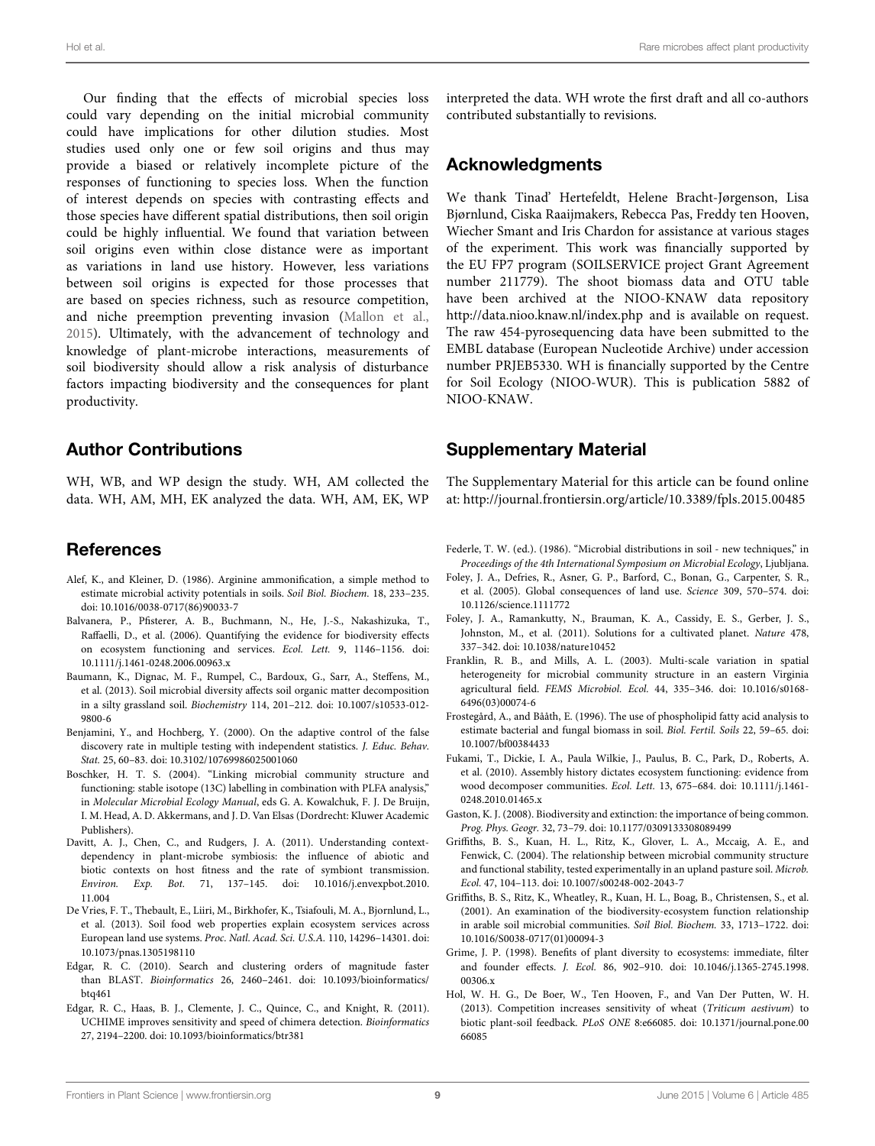Our finding that the effects of microbial species loss could vary depending on the initial microbial community could have implications for other dilution studies. Most studies used only one or few soil origins and thus may provide a biased or relatively incomplete picture of the responses of functioning to species loss. When the function of interest depends on species with contrasting effects and those species have different spatial distributions, then soil origin could be highly influential. We found that variation between soil origins even within close distance were as important as variations in land use history. However, less variations between soil origins is expected for those processes that are based on species richness, such as resource competition, and niche preemption preventing invasion [\(Mallon et al.,](#page-9-11) [2015](#page-9-11)). Ultimately, with the advancement of technology and knowledge of plant-microbe interactions, measurements of soil biodiversity should allow a risk analysis of disturbance factors impacting biodiversity and the consequences for plant productivity.

#### Author Contributions

WH, WB, and WP design the study. WH, AM collected the data. WH, AM, MH, EK analyzed the data. WH, AM, EK, WP

#### References

- <span id="page-8-12"></span>Alef, K., and Kleiner, D. (1986). Arginine ammonification, a simple method to estimate microbial activity potentials in soils. *Soil Biol. Biochem.* 18, 233–235. doi: 10.1016/0038-0717(86)90033-7
- <span id="page-8-3"></span>Balvanera, P., Pfisterer, A. B., Buchmann, N., He, J.-S., Nakashizuka, T., Raffaelli, D., et al. (2006). Quantifying the evidence for biodiversity effects on ecosystem functioning and services. *Ecol. Lett.* 9, 1146–1156. doi: 10.1111/j.1461-0248.2006.00963.x
- <span id="page-8-6"></span>Baumann, K., Dignac, M. F., Rumpel, C., Bardoux, G., Sarr, A., Steffens, M., et al. (2013). Soil microbial diversity affects soil organic matter decomposition in a silty grassland soil. *Biochemistry* 114, 201–212. doi: 10.1007/s10533-012- 9800-6
- <span id="page-8-15"></span>Benjamini, Y., and Hochberg, Y. (2000). On the adaptive control of the false discovery rate in multiple testing with independent statistics. *J. Educ. Behav. Stat.* 25, 60–83. doi: 10.3102/10769986025001060
- <span id="page-8-9"></span>Boschker, H. T. S. (2004). "Linking microbial community structure and functioning: stable isotope (13C) labelling in combination with PLFA analysis," in *Molecular Microbial Ecology Manual*, eds G. A. Kowalchuk, F. J. De Bruijn, I. M. Head, A. D. Akkermans, and J. D. Van Elsas (Dordrecht: Kluwer Academic Publishers).
- <span id="page-8-17"></span>Davitt, A. J., Chen, C., and Rudgers, J. A. (2011). Understanding contextdependency in plant-microbe symbiosis: the influence of abiotic and biotic contexts on host fitness and the rate of symbiont transmission. *Environ. Exp. Bot.* 71, 137–145. doi: 10.1016/j.envexpbot.2010. 11.004
- <span id="page-8-2"></span>De Vries, F. T., Thebault, E., Liiri, M., Birkhofer, K., Tsiafouli, M. A., Bjornlund, L., et al. (2013). Soil food web properties explain ecosystem services across European land use systems. *Proc. Natl. Acad. Sci. U.S.A.* 110, 14296–14301. doi: 10.1073/pnas.1305198110
- <span id="page-8-14"></span>Edgar, R. C. (2010). Search and clustering orders of magnitude faster than BLAST. *Bioinformatics* 26, 2460–2461. doi: 10.1093/bioinformatics/ btq461
- <span id="page-8-13"></span>Edgar, R. C., Haas, B. J., Clemente, J. C., Quince, C., and Knight, R. (2011). UCHIME improves sensitivity and speed of chimera detection. *Bioinformatics* 27, 2194–2200. doi: 10.1093/bioinformatics/btr381

interpreted the data. WH wrote the first draft and all co-authors contributed substantially to revisions.

#### Acknowledgments

We thank Tinad' Hertefeldt, Helene Bracht-Jørgenson, Lisa Bjørnlund, Ciska Raaijmakers, Rebecca Pas, Freddy ten Hooven, Wiecher Smant and Iris Chardon for assistance at various stages of the experiment. This work was financially supported by the EU FP7 program (SOILSERVICE project Grant Agreement number 211779). The shoot biomass data and OTU table have been archived at the NIOO-KNAW data repository <http://data.nioo.knaw.nl/index.php> and is available on request. The raw 454-pyrosequencing data have been submitted to the EMBL database (European Nucleotide Archive) under accession number PRJEB5330. WH is financially supported by the Centre for Soil Ecology (NIOO-WUR). This is publication 5882 of NIOO-KNAW.

## Supplementary Material

The Supplementary Material for this article can be found online at: [http://journal](http://journal.frontiersin.org/article/10.3389/fpls.2015.00485).frontiersin.org/article/10.3389/fpls.2015.00485

<span id="page-8-11"></span>Federle, T. W. (ed.). (1986). "Microbial distributions in soil - new techniques," in *Proceedings of the 4th International Symposium on Microbial Ecology*, Ljubljana.

- <span id="page-8-0"></span>Foley, J. A., Defries, R., Asner, G. P., Barford, C., Bonan, G., Carpenter, S. R., et al. (2005). Global consequences of land use. *Science* 309, 570–574. doi: 10.1126/science.1111772
- <span id="page-8-1"></span>Foley, J. A., Ramankutty, N., Brauman, K. A., Cassidy, E. S., Gerber, J. S., Johnston, M., et al. (2011). Solutions for a cultivated planet. *Nature* 478, 337–342. doi: 10.1038/nature10452
- <span id="page-8-16"></span>Franklin, R. B., and Mills, A. L. (2003). Multi-scale variation in spatial heterogeneity for microbial community structure in an eastern Virginia agricultural field. *FEMS Microbiol. Ecol.* 44, 335–346. doi: 10.1016/s0168- 6496(03)00074-6
- <span id="page-8-10"></span>Frostegård, A., and Bååth, E. (1996). The use of phospholipid fatty acid analysis to estimate bacterial and fungal biomass in soil. *Biol. Fertil. Soils* 22, 59–65. doi: 10.1007/bf00384433
- <span id="page-8-18"></span>Fukami, T., Dickie, I. A., Paula Wilkie, J., Paulus, B. C., Park, D., Roberts, A. et al. (2010). Assembly history dictates ecosystem functioning: evidence from wood decomposer communities. *Ecol. Lett.* 13, 675–684. doi: 10.1111/j.1461- 0248.2010.01465.x
- <span id="page-8-4"></span>Gaston, K. J. (2008). Biodiversity and extinction: the importance of being common. *Prog. Phys. Geogr.* 32, 73–79. doi: 10.1177/0309133308089499
- <span id="page-8-8"></span>Griffiths, B. S., Kuan, H. L., Ritz, K., Glover, L. A., Mccaig, A. E., and Fenwick, C. (2004). The relationship between microbial community structure and functional stability, tested experimentally in an upland pasture soil. *Microb. Ecol.* 47, 104–113. doi: 10.1007/s00248-002-2043-7
- <span id="page-8-7"></span>Griffiths, B. S., Ritz, K., Wheatley, R., Kuan, H. L., Boag, B., Christensen, S., et al. (2001). An examination of the biodiversity-ecosystem function relationship in arable soil microbial communities. *Soil Biol. Biochem.* 33, 1713–1722. doi: 10.1016/S0038-0717(01)00094-3
- <span id="page-8-5"></span>Grime, J. P. (1998). Benefits of plant diversity to ecosystems: immediate, filter and founder effects. *J. Ecol.* 86, 902–910. doi: 10.1046/j.1365-2745.1998. 00306.x
- <span id="page-8-19"></span>Hol, W. H. G., De Boer, W., Ten Hooven, F., and Van Der Putten, W. H. (2013). Competition increases sensitivity of wheat (*Triticum aestivum*) to biotic plant-soil feedback. *PLoS ONE* 8:e66085. doi: 10.1371/journal.pone.00 66085